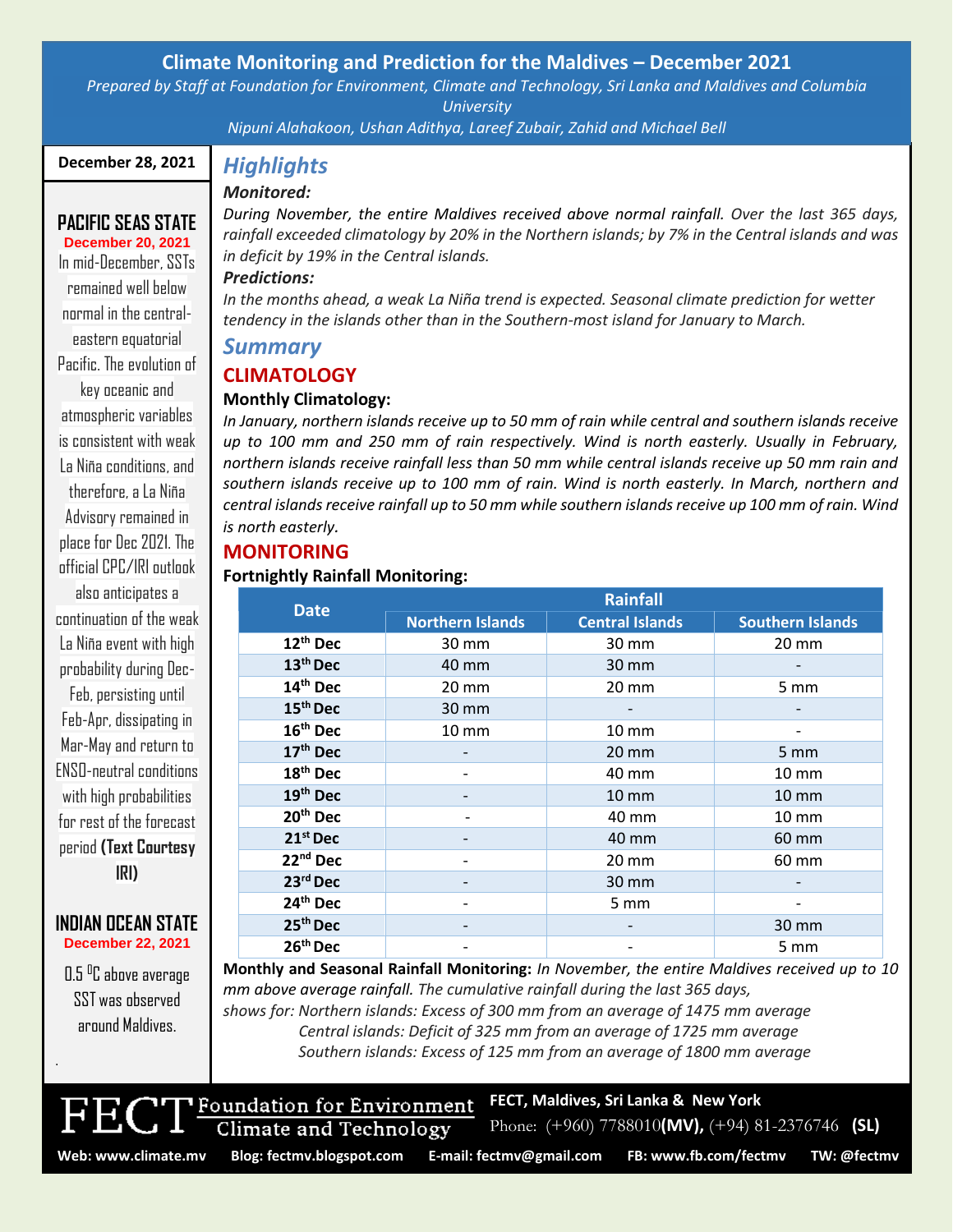## **Climate Monitoring and Prediction for the Maldives – December 2021**

*Prepared by Staff at Foundation for Environment, Climate and Technology, Sri Lanka and Maldives and Columbia University*

*Nipuni Alahakoon, Ushan Adithya, Lareef Zubair, Zahid and Michael Bell*

#### **December 28, 2021**

## *Monitored:*

## **PACIFIC SEAS STATE**

**December 20, 2021** In mid-December, SSTs remained well below normal in the centraleastern equatorial Pacific. The evolution of key oceanic and atmospheric variables is consistent with weak La Niña conditinns, and therefore, a La Niña Advisory remained in place for Dec2021. The official CPC/IRI outlook

also anticipates a continuation of the weak La Niña event with high probability during Dec-

Feb, persisting until Feb-Apr, dissipating in Mar-May and return to ENSO-neutral conditions with high probabilities for rest of the forecast period **(Text Courtesy IRI)**

#### **INDIAN OCEAN STATE December 22, 2021**

0.5 <sup>o</sup>C above average SST was observed around Maldives.

.

# *Highlights*

*During November, the entire Maldives received above normal rainfall. Over the last 365 days, rainfall exceeded climatology by 20% in the Northern islands; by 7% in the Central islands and was in deficit by 19% in the Central islands.*

## *Predictions:*

*In the months ahead, a weak La Niña trend is expected. Seasonal climate prediction for wetter tendency in the islands other than in the Southern-most island for January to March.*

## *Summary*

## **CLIMATOLOGY**

#### **Monthly Climatology:**

*In January, northern islands receive up to 50 mm of rain while central and southern islands receive up to 100 mm and 250 mm of rain respectively. Wind is north easterly. Usually in February, northern islands receive rainfall less than 50 mm while central islands receive up 50 mm rain and southern islands receive up to 100 mm of rain. Wind is north easterly. In March, northern and central islands receive rainfall up to 50 mm while southern islands receive up 100 mm of rain. Wind is north easterly.*

## **MONITORING**

#### **Fortnightly Rainfall Monitoring:**

| <b>Date</b>          | <b>Rainfall</b>         |                        |                         |
|----------------------|-------------------------|------------------------|-------------------------|
|                      | <b>Northern Islands</b> | <b>Central Islands</b> | <b>Southern Islands</b> |
| 12 <sup>th</sup> Dec | $30 \text{ mm}$         | $30 \text{ mm}$        | $20 \text{ mm}$         |
| 13 <sup>th</sup> Dec | 40 mm                   | 30 mm                  |                         |
| 14th Dec             | 20 mm                   | $20 \, \text{mm}$      | 5 <sub>mm</sub>         |
| 15 <sup>th</sup> Dec | 30 mm                   |                        |                         |
| 16 <sup>th</sup> Dec | 10 mm                   | $10 \text{ mm}$        |                         |
| 17 <sup>th</sup> Dec |                         | $20 \, \text{mm}$      | 5 <sub>mm</sub>         |
| 18 <sup>th</sup> Dec |                         | 40 mm                  | $10 \, \text{mm}$       |
| 19 <sup>th</sup> Dec |                         | $10 \, \text{mm}$      | $10 \, \text{mm}$       |
| 20th Dec             |                         | 40 mm                  | <b>10 mm</b>            |
| 21st Dec             |                         | 40 mm                  | 60 mm                   |
| 22 <sup>nd</sup> Dec |                         | $20 \text{ mm}$        | 60 mm                   |
| 23rd Dec             |                         | 30 mm                  |                         |
| 24th Dec             |                         | $5 \text{ mm}$         |                         |
| 25 <sup>th</sup> Dec |                         |                        | 30 mm                   |
| 26 <sup>th</sup> Dec |                         |                        | 5 mm                    |

Page **Monthly and Seasonal Rainfall Monitoring:** *In November, the entire Maldives received up to 10 mm above average rainfall. The cumulative rainfall during the last 365 days, shows for: Northern islands: Excess of 300 mm from an average of 1475 mm average Central islands: Deficit of 325 mm from an average of 1725 mm average Southern islands: Excess of 125 mm from an average of 1800 mm average*



Foundation for Environment Climate and Technology

**FECT, Maldives, Sri Lanka & New York**

Phone: (+960) 7788010**(MV),** (+94) 81-2376746 **(SL)**

**Web: www.climate.mv Blog[: fectmv.blogspot.com](mailto:fectmv.blogspot.com) E-mail: [fectmv@gmail.com](mailto:fectmv@gmail.com) FB[: www.fb.com/fectmv](http://www.fb.com/fectmv) TW: @fectmv**